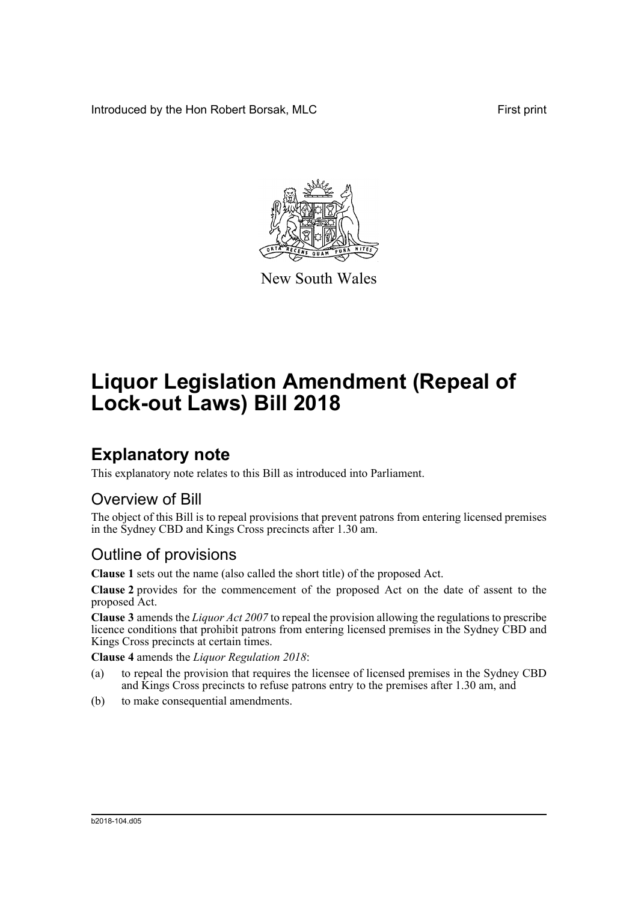Introduced by the Hon Robert Borsak, MLC First print



New South Wales

# **Liquor Legislation Amendment (Repeal of Lock-out Laws) Bill 2018**

## **Explanatory note**

This explanatory note relates to this Bill as introduced into Parliament.

#### Overview of Bill

The object of this Bill is to repeal provisions that prevent patrons from entering licensed premises in the Sydney CBD and Kings Cross precincts after 1.30 am.

#### Outline of provisions

**Clause 1** sets out the name (also called the short title) of the proposed Act.

**Clause 2** provides for the commencement of the proposed Act on the date of assent to the proposed Act.

**Clause 3** amends the *Liquor Act 2007* to repeal the provision allowing the regulations to prescribe licence conditions that prohibit patrons from entering licensed premises in the Sydney CBD and Kings Cross precincts at certain times.

**Clause 4** amends the *Liquor Regulation 2018*:

- (a) to repeal the provision that requires the licensee of licensed premises in the Sydney CBD and Kings Cross precincts to refuse patrons entry to the premises after 1.30 am, and
- (b) to make consequential amendments.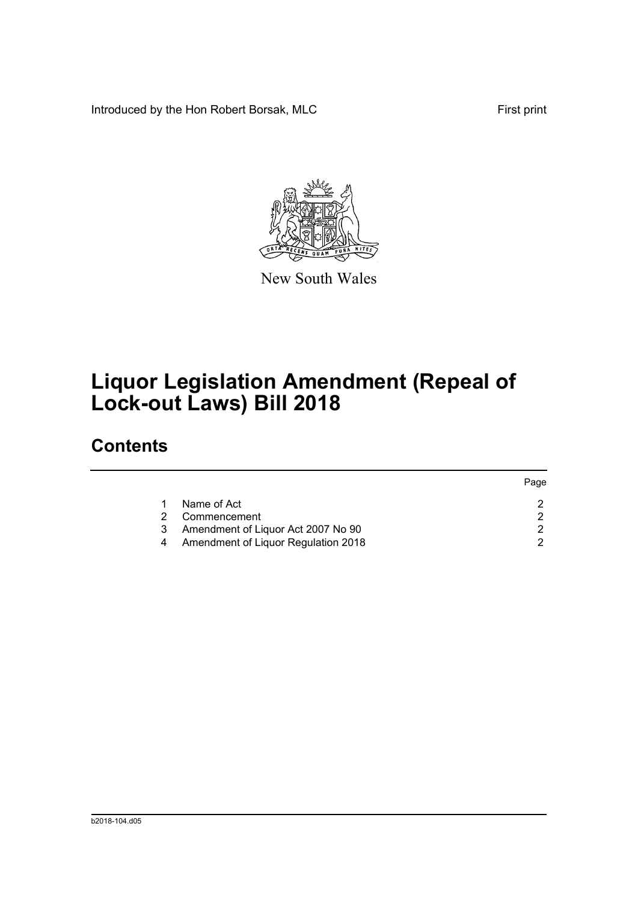Introduced by the Hon Robert Borsak, MLC First print



New South Wales

# **Liquor Legislation Amendment (Repeal of Lock-out Laws) Bill 2018**

### **Contents**

|   |                                     | Page |
|---|-------------------------------------|------|
|   | Name of Act                         |      |
|   | Commencement                        |      |
| 3 | Amendment of Liquor Act 2007 No 90  |      |
|   | Amendment of Liquor Regulation 2018 |      |
|   |                                     |      |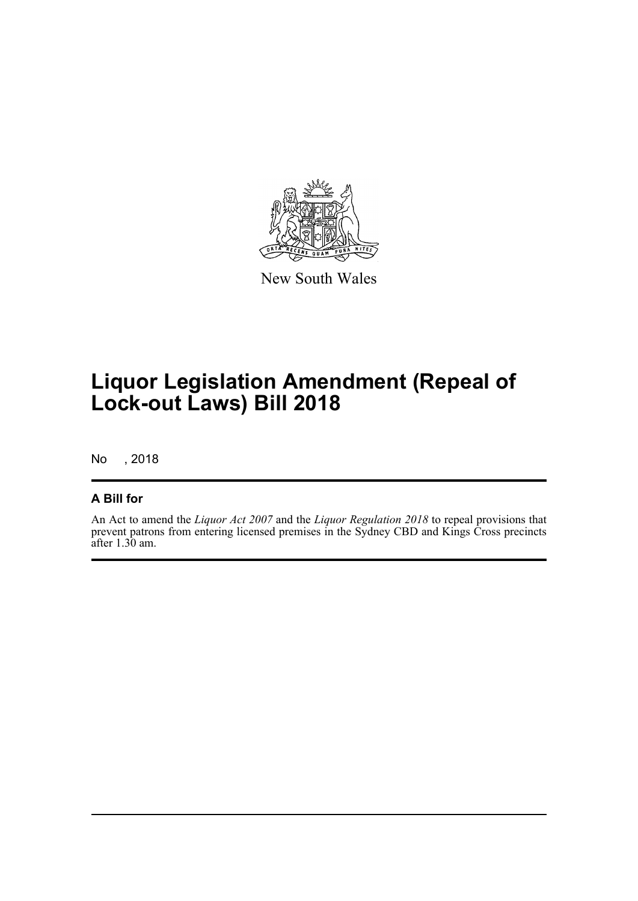

New South Wales

## **Liquor Legislation Amendment (Repeal of Lock-out Laws) Bill 2018**

No , 2018

#### **A Bill for**

An Act to amend the *Liquor Act 2007* and the *Liquor Regulation 2018* to repeal provisions that prevent patrons from entering licensed premises in the Sydney CBD and Kings Cross precincts after 1.30 am.